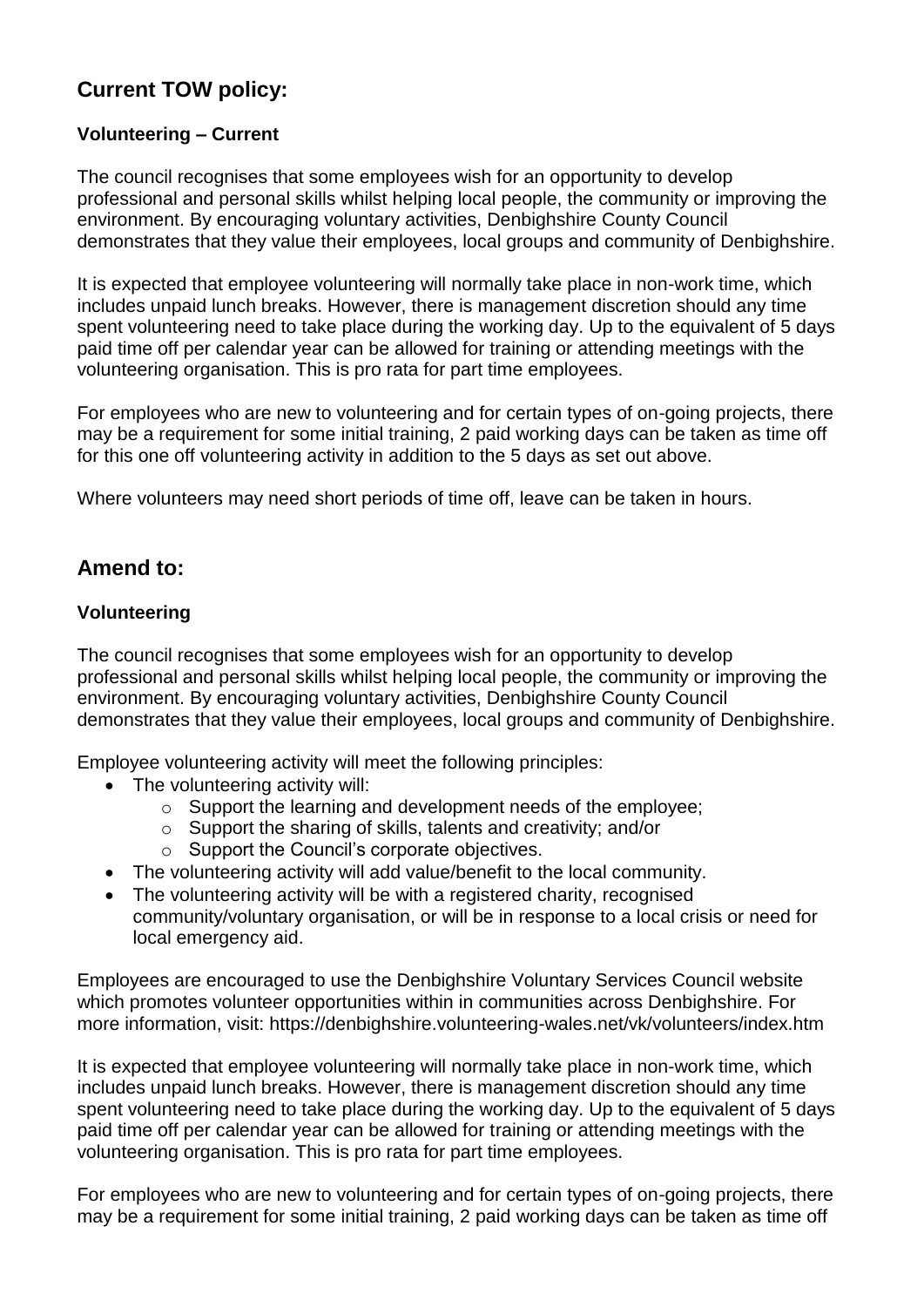## **Current TOW policy:**

## **Volunteering – Current**

The council recognises that some employees wish for an opportunity to develop professional and personal skills whilst helping local people, the community or improving the environment. By encouraging voluntary activities, Denbighshire County Council demonstrates that they value their employees, local groups and community of Denbighshire.

It is expected that employee volunteering will normally take place in non-work time, which includes unpaid lunch breaks. However, there is management discretion should any time spent volunteering need to take place during the working day. Up to the equivalent of 5 days paid time off per calendar year can be allowed for training or attending meetings with the volunteering organisation. This is pro rata for part time employees.

For employees who are new to volunteering and for certain types of on-going projects, there may be a requirement for some initial training, 2 paid working days can be taken as time off for this one off volunteering activity in addition to the 5 days as set out above.

Where volunteers may need short periods of time off, leave can be taken in hours.

## **Amend to:**

## **Volunteering**

The council recognises that some employees wish for an opportunity to develop professional and personal skills whilst helping local people, the community or improving the environment. By encouraging voluntary activities, Denbighshire County Council demonstrates that they value their employees, local groups and community of Denbighshire.

Employee volunteering activity will meet the following principles:

- The volunteering activity will:
	- o Support the learning and development needs of the employee;
	- o Support the sharing of skills, talents and creativity; and/or
	- o Support the Council's corporate objectives.
- The volunteering activity will add value/benefit to the local community.
- The volunteering activity will be with a registered charity, recognised community/voluntary organisation, or will be in response to a local crisis or need for local emergency aid.

Employees are encouraged to use the Denbighshire Voluntary Services Council website which promotes volunteer opportunities within in communities across Denbighshire. For more information, visit: https://denbighshire.volunteering-wales.net/vk/volunteers/index.htm

It is expected that employee volunteering will normally take place in non-work time, which includes unpaid lunch breaks. However, there is management discretion should any time spent volunteering need to take place during the working day. Up to the equivalent of 5 days paid time off per calendar year can be allowed for training or attending meetings with the volunteering organisation. This is pro rata for part time employees.

For employees who are new to volunteering and for certain types of on-going projects, there may be a requirement for some initial training, 2 paid working days can be taken as time off